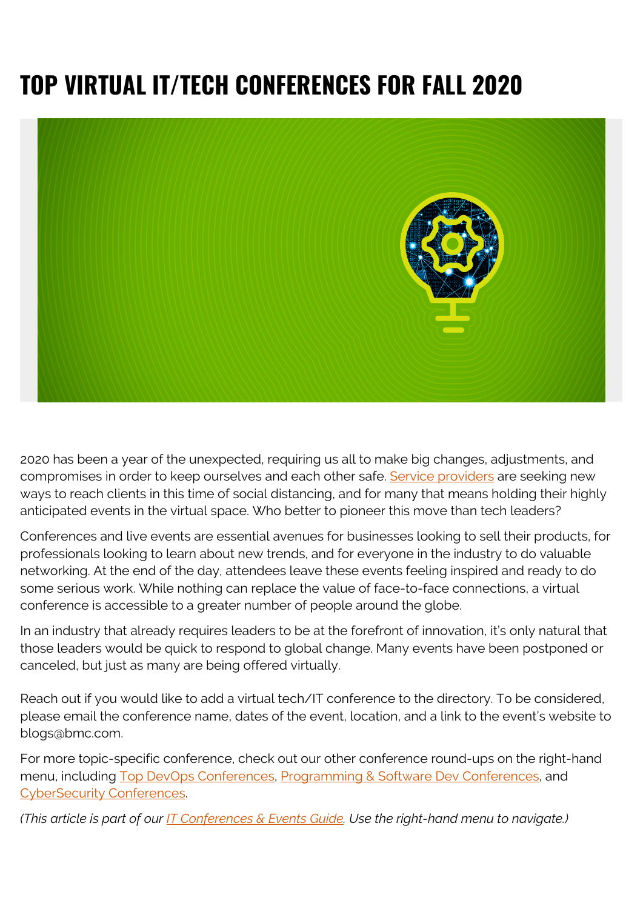# **TOP VIRTUAL IT/TECH CONFERENCES FOR FALL 2020**



2020 has been a year of the unexpected, requiring us all to make big changes, adjustments, and compromises in order to keep ourselves and each other safe. [Service providers](https://blogs.bmc.com/blogs/it-service/) are seeking new ways to reach clients in this time of social distancing, and for many that means holding their highly anticipated events in the virtual space. Who better to pioneer this move than tech leaders?

Conferences and live events are essential avenues for businesses looking to sell their products, for professionals looking to learn about new trends, and for everyone in the industry to do valuable networking. At the end of the day, attendees leave these events feeling inspired and ready to do some serious work. While nothing can replace the value of face-to-face connections, a virtual conference is accessible to a greater number of people around the globe.

In an industry that already requires leaders to be at the forefront of innovation, it's only natural that those leaders would be quick to respond to global change. Many events have been postponed or canceled, but just as many are being offered virtually.

Reach out if you would like to add a virtual tech/IT conference to the directory. To be considered, please email the conference name, dates of the event, location, and a link to the event's website to blogs@bmc.com.

For more topic-specific conference, check out our other conference round-ups on the right-hand menu, including [Top DevOps Conferences](https://blogs.bmc.com/blogs/devops-conferences/), [Programming & Software Dev Conferences](https://blogs.bmc.com/blogs/software-development-programming-conferences/), and [CyberSecurity Conferences.](https://blogs.bmc.com/blogs/it-infosec-cyber-security-conferences/)

*(This article is part of our [IT Conferences & Events Guide](https://blogs.bmc.com/blogs/tech-it-conferences/). Use the right-hand menu to navigate.)*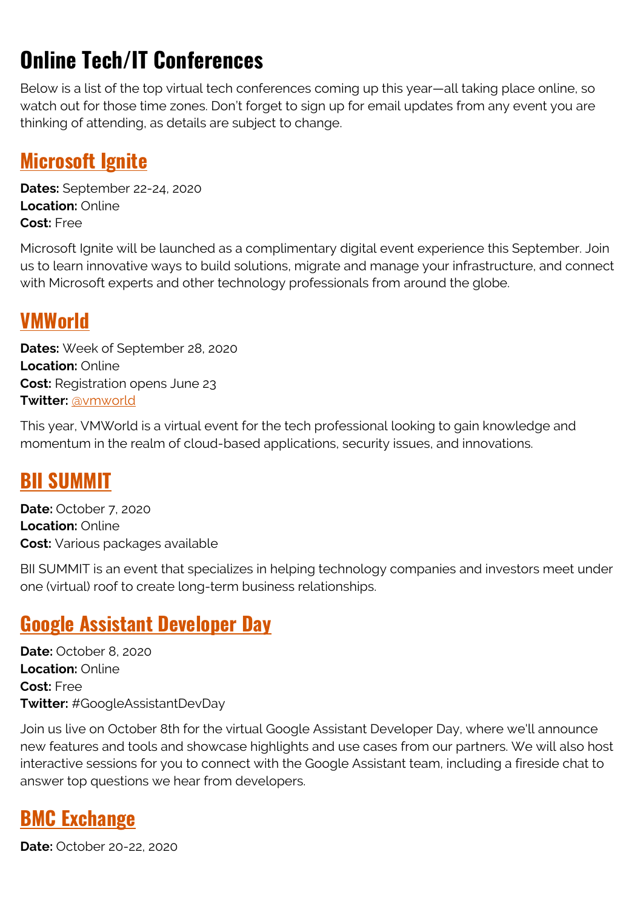## **Online Tech/IT Conferences**

Below is a list of the top virtual tech conferences coming up this year—all taking place online, so watch out for those time zones. Don't forget to sign up for email updates from any event you are thinking of attending, as details are subject to change.

#### **[Microsoft Ignite](https://www.microsoft.com/en-us/ignite)**

**Dates:** September 22-24, 2020 **Location:** Online **Cost:** Free

Microsoft Ignite will be launched as a complimentary digital event experience this September. Join us to learn innovative ways to build solutions, migrate and manage your infrastructure, and connect with Microsoft experts and other technology professionals from around the globe.

#### **[VMWorld](https://www.vmworld.com/en/index.html)**

**Dates:** Week of September 28, 2020 **Location:** Online **Cost:** Registration opens June 23 **Twitter:** [@vmworld](https://twitter.com/vmworld)

This year, VMWorld is a virtual event for the tech professional looking to gain knowledge and momentum in the realm of cloud-based applications, security issues, and innovations.

#### **[BII SUMMIT](https://www.biisummit.com/)**

**Date:** October 7, 2020 **Location:** Online **Cost:** Various packages available

BII SUMMIT is an event that specializes in helping technology companies and investors meet under one (virtual) roof to create long-term business relationships.

#### **[Google Assistant Developer Day](https://developersonair.withgoogle.com/events/assistant-devday)**

**Date:** October 8, 2020 **Location:** Online **Cost:** Free **Twitter:** #GoogleAssistantDevDay

Join us live on October 8th for the virtual Google Assistant Developer Day, where we'll announce new features and tools and showcase highlights and use cases from our partners. We will also host interactive sessions for you to connect with the Google Assistant team, including a fireside chat to answer top questions we hear from developers.

#### **[BMC Exchange](https://exchange.bmc.com/)**

**Date:** October 20-22, 2020